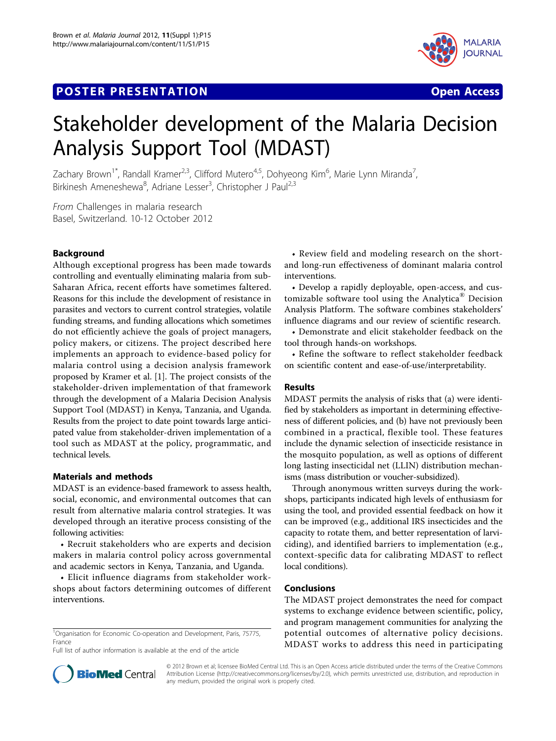## **POSTER PRESENTATION CONSUMING THE SERVICE SERVICE SERVICES**



# Stakeholder development of the Malaria Decision Analysis Support Tool (MDAST)

Zachary Brown<sup>1\*</sup>, Randall Kramer<sup>2,3</sup>, Clifford Mutero<sup>4,5</sup>, Dohyeong Kim<sup>6</sup>, Marie Lynn Miranda<sup>7</sup> , Birkinesh Ameneshewa<sup>8</sup>, Adriane Lesser<sup>3</sup>, Christopher J Paul<sup>2,3</sup>

From Challenges in malaria research Basel, Switzerland. 10-12 October 2012

## Background

Although exceptional progress has been made towards controlling and eventually eliminating malaria from sub-Saharan Africa, recent efforts have sometimes faltered. Reasons for this include the development of resistance in parasites and vectors to current control strategies, volatile funding streams, and funding allocations which sometimes do not efficiently achieve the goals of project managers, policy makers, or citizens. The project described here implements an approach to evidence-based policy for malaria control using a decision analysis framework proposed by Kramer et al. [[1\]](#page-1-0). The project consists of the stakeholder-driven implementation of that framework through the development of a Malaria Decision Analysis Support Tool (MDAST) in Kenya, Tanzania, and Uganda. Results from the project to date point towards large anticipated value from stakeholder-driven implementation of a tool such as MDAST at the policy, programmatic, and technical levels.

## Materials and methods

MDAST is an evidence-based framework to assess health, social, economic, and environmental outcomes that can result from alternative malaria control strategies. It was developed through an iterative process consisting of the following activities:

• Recruit stakeholders who are experts and decision makers in malaria control policy across governmental and academic sectors in Kenya, Tanzania, and Uganda.

• Elicit influence diagrams from stakeholder workshops about factors determining outcomes of different interventions.

<sup>1</sup>Organisation for Economic Co-operation and Development, Paris, 75775, France

Full list of author information is available at the end of the article



• Develop a rapidly deployable, open-access, and customizable software tool using the Analytica® Decision Analysis Platform. The software combines stakeholders' influence diagrams and our review of scientific research.

• Demonstrate and elicit stakeholder feedback on the tool through hands-on workshops.

• Refine the software to reflect stakeholder feedback on scientific content and ease-of-use/interpretability.

## Results

MDAST permits the analysis of risks that (a) were identified by stakeholders as important in determining effectiveness of different policies, and (b) have not previously been combined in a practical, flexible tool. These features include the dynamic selection of insecticide resistance in the mosquito population, as well as options of different long lasting insecticidal net (LLIN) distribution mechanisms (mass distribution or voucher-subsidized).

Through anonymous written surveys during the workshops, participants indicated high levels of enthusiasm for using the tool, and provided essential feedback on how it can be improved (e.g., additional IRS insecticides and the capacity to rotate them, and better representation of larviciding), and identified barriers to implementation (e.g., context-specific data for calibrating MDAST to reflect local conditions).

## Conclusions

The MDAST project demonstrates the need for compact systems to exchange evidence between scientific, policy, and program management communities for analyzing the potential outcomes of alternative policy decisions. MDAST works to address this need in participating



© 2012 Brown et al; licensee BioMed Central Ltd. This is an Open Access article distributed under the terms of the Creative Commons Attribution License [\(http://creativecommons.org/licenses/by/2.0](http://creativecommons.org/licenses/by/2.0)), which permits unrestricted use, distribution, and reproduction in any medium, provided the original work is properly cited.